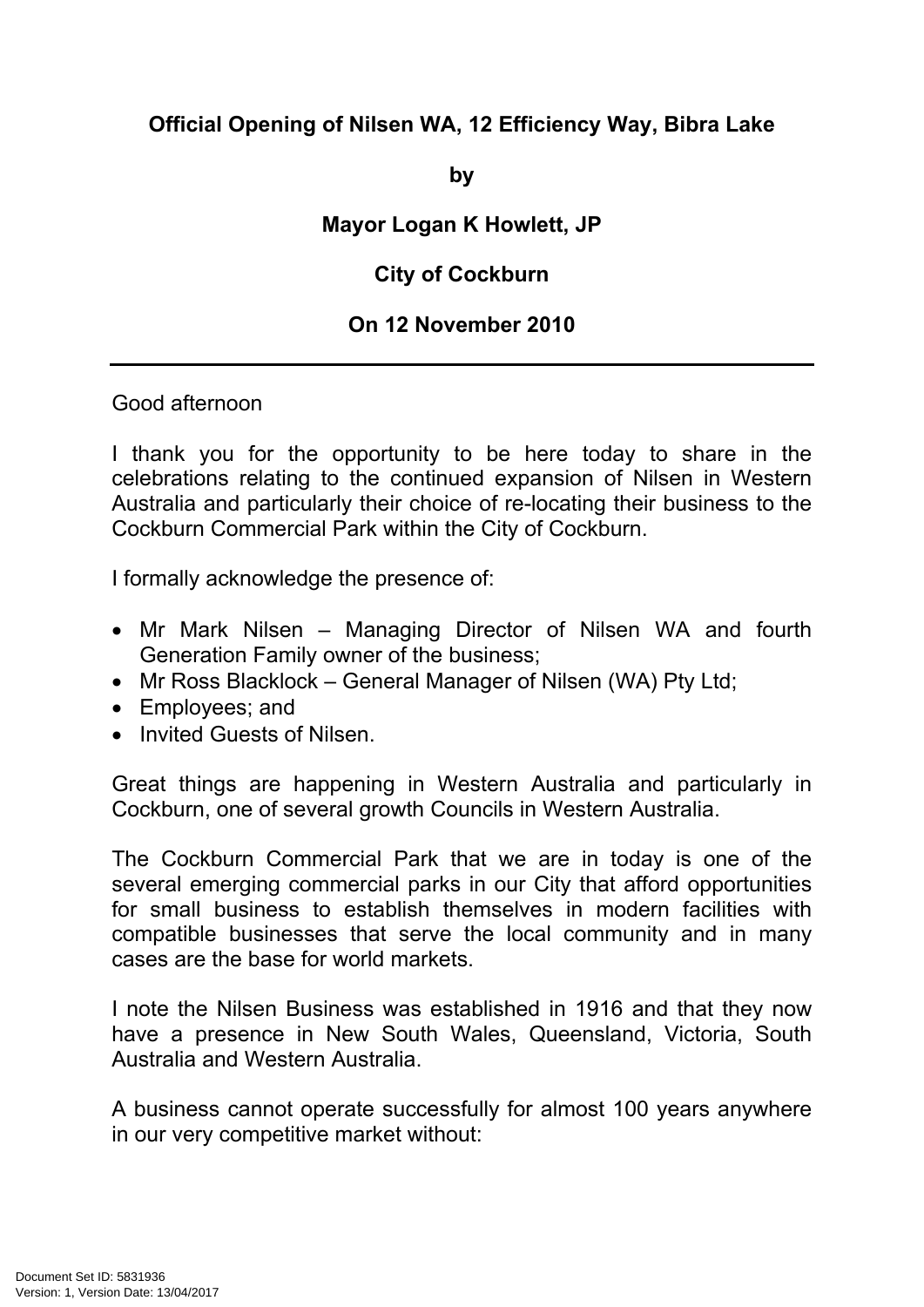## **Official Opening of Nilsen WA, 12 Efficiency Way, Bibra Lake**

**by**

## **Mayor Logan K Howlett, JP**

## **City of Cockburn**

## **On 12 November 2010**

Good afternoon

I thank you for the opportunity to be here today to share in the celebrations relating to the continued expansion of Nilsen in Western Australia and particularly their choice of re-locating their business to the Cockburn Commercial Park within the City of Cockburn.

I formally acknowledge the presence of:

- Mr Mark Nilsen Managing Director of Nilsen WA and fourth Generation Family owner of the business;
- Mr Ross Blacklock General Manager of Nilsen (WA) Pty Ltd;
- Employees; and
- Invited Guests of Nilsen

Great things are happening in Western Australia and particularly in Cockburn, one of several growth Councils in Western Australia.

The Cockburn Commercial Park that we are in today is one of the several emerging commercial parks in our City that afford opportunities for small business to establish themselves in modern facilities with compatible businesses that serve the local community and in many cases are the base for world markets.

I note the Nilsen Business was established in 1916 and that they now have a presence in New South Wales, Queensland, Victoria, South Australia and Western Australia.

A business cannot operate successfully for almost 100 years anywhere in our very competitive market without: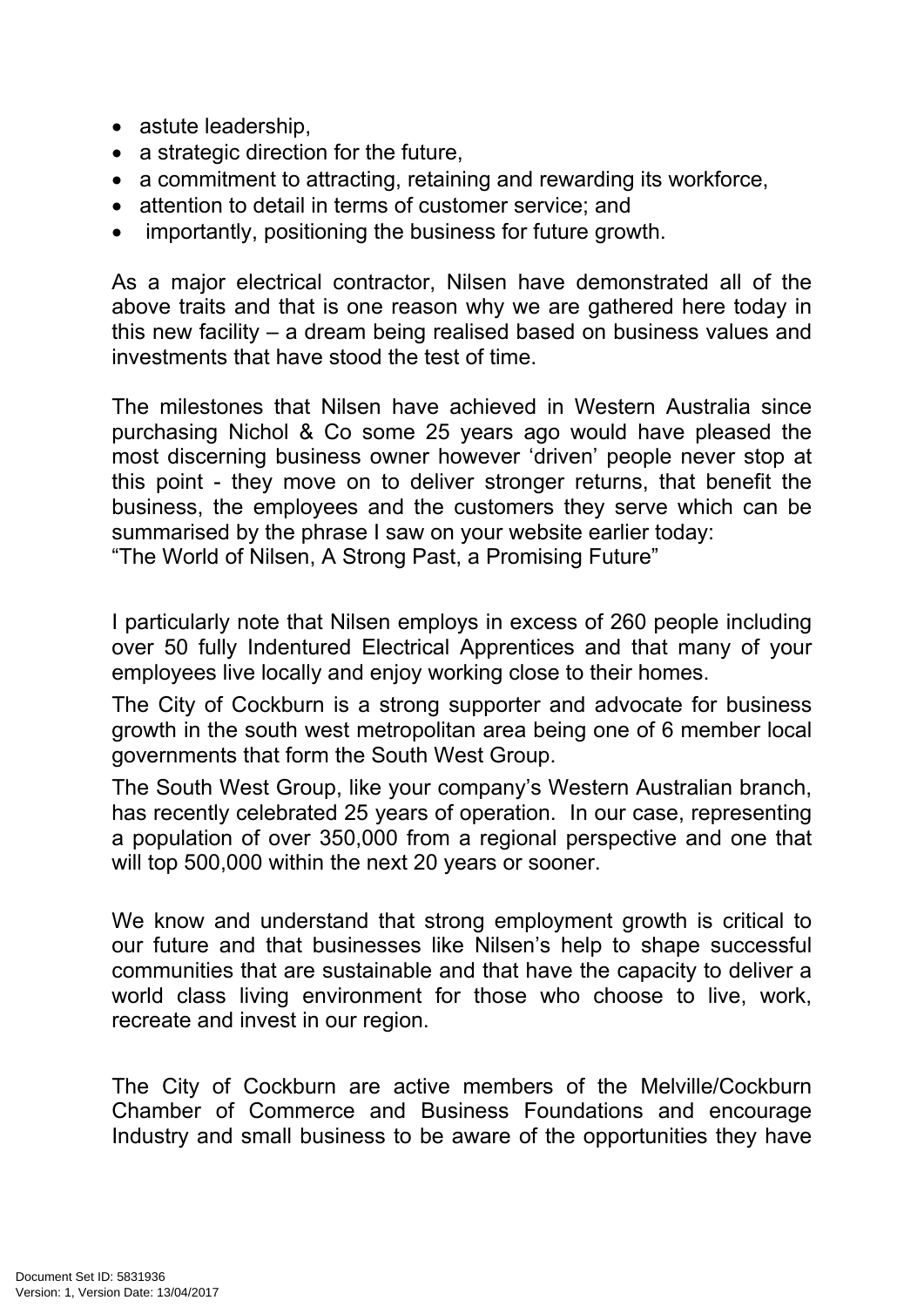- astute leadership,
- a strategic direction for the future,
- a commitment to attracting, retaining and rewarding its workforce,
- attention to detail in terms of customer service: and
- importantly, positioning the business for future growth.

As a major electrical contractor, Nilsen have demonstrated all of the above traits and that is one reason why we are gathered here today in this new facility – a dream being realised based on business values and investments that have stood the test of time.

The milestones that Nilsen have achieved in Western Australia since purchasing Nichol & Co some 25 years ago would have pleased the most discerning business owner however 'driven' people never stop at this point - they move on to deliver stronger returns, that benefit the business, the employees and the customers they serve which can be summarised by the phrase I saw on your website earlier today:

"The World of Nilsen, A Strong Past, a Promising Future"

I particularly note that Nilsen employs in excess of 260 people including over 50 fully Indentured Electrical Apprentices and that many of your employees live locally and enjoy working close to their homes.

The City of Cockburn is a strong supporter and advocate for business growth in the south west metropolitan area being one of 6 member local governments that form the South West Group.

The South West Group, like your company's Western Australian branch, has recently celebrated 25 years of operation. In our case, representing a population of over 350,000 from a regional perspective and one that will top 500,000 within the next 20 years or sooner.

We know and understand that strong employment growth is critical to our future and that businesses like Nilsen's help to shape successful communities that are sustainable and that have the capacity to deliver a world class living environment for those who choose to live, work, recreate and invest in our region.

The City of Cockburn are active members of the Melville/Cockburn Chamber of Commerce and Business Foundations and encourage Industry and small business to be aware of the opportunities they have